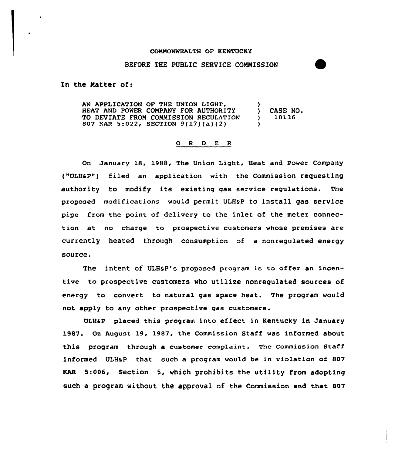## COMMONWEALTH OF KENTUCKY

## BEFORE THE PUBLIC SERVICE COMMISSION

In the Matter of:

AN APPLICATION OF THE UNION LIGHT, HEAT AND POWER COMPANY FOR AUTHORITY (CASE NO.<br>TO DEVIATE FROM COMMISSION REGULATION (10136) TO DEVIATE FROM COMMISSION REGULATION 807 KAR 5:022, SECTION 9{17)(a)(2) )

## 0 <sup>R</sup> <sup>D</sup> E <sup>R</sup>

On January 18, 1988, The Union Light, Heat and Power Company ("ULHaP") filed an application with the Commission requesting authority to modify its existing gas service regulations. The proposed modifications would permit ULHSP to install gas service pipe from the point of delivery to the inlet of the meter connection at no charge to prospective customers whose premises are currently heated through consumption of a nonregulated energy source.

The intent of ULH&P's proposed program is to offer an incentive to prospective customers who utilize nonregulated sources of energy to convert to natural gas space heat. The program would not apply to any other prospective gas customers.

ULH4P placed this program into effect in Kentucky in January 1987. On August. 19, 1987, the Commission Staff was informed about this program through a customer complaint. The commission staff informed ULH6P that such a program would be in violation of 807 KAR 5:006, Section 5, which prohibits the utility from adopting such a program without the approval of the Commission and that 807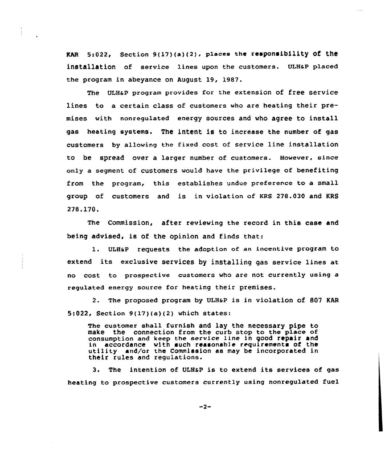KAR  $5:022$ , Section  $9(17)(a)(2)$ , places the responsibility of the installation of service lines upon the customers. ULHaP placed the program in abeyance on August 19, 1987.

The ULH&P program provides for the extension of free service lines to a certain class of customers who are heating their premises with nonregulated energy sources and who agree to install gas heating systems. The intent is to increase the number of gas customers by allowing the fixed cost of service line installation to be spread over a larger number of custamers. However, since only a segment of customers would have the privilege of benefiting from the program, this establishes undue preference to a small group of customers and is in violation of KRS 278.030 and KRS 278.170.

The Commission, after reviewing the record in this case and being advised, is of the opinion and finds that:

1. ULH&P requests the adoption of an incentive program to extend its exclusive services by installing gas service lines at no cost ta prospective customers wha are not currently using a regulated energy source for heating their premises.

2. The proposed program by ULHaP is in violatiOn Of 807 KAR 5:022, Section 9(17)(a)(2) which states:

The customer shall furnish and lay the necessary pipe to make the connection from the curb stop to the place of consumption and keep the service line in good repair and in accordance with such reasonable requirements of the utility and/ar the Commission as may be incorporated in their rules and regulations.

3. The intention of ULH&P is to extend its services of gas heating to prospective customers currently using nonregulated fuel

 $-2-$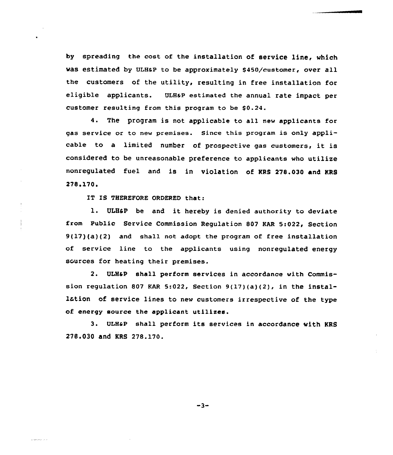by spreading the cost of the installation of service line, which was estimated by ULH&P to be approximately \$450/customer, over all the customers of the utility, resulting in free installation for eligible applicants. ULH&p estimated the annual rate impact per customer resulting from this program to be \$0.24.

The program is not applicable to all new applicants for gas service or to new premises. Since this program is only applicable to <sup>a</sup> limited number of prospective gas customers, it is considered to be unreasonable preference to applicants who utilize nonregulated fuel and is in violation of RRS 278.030 and MRS 278.170.

IT IS THEREFORE ORDERED that:

l. ULH&P be and it hereby is denied authority to deviate from Public Service Commission Regulation 807 EAR 5:022, Section 9(17)(a)(2) and shall not adopt the program of free installation of service line to the applicants using nonregulated energy sources for heating their premises.

2. ULH&P shall perform services in accordance with Commission regulation 807 KAR 5:022, Section  $9(17)(a)(2)$ , in the instal-1tion of service lines to new customers irrespective of the type of energy source the applicant utilizes.

<sup>3</sup> ULH&p shall perform its services in accordance with KRS 278.030 and KRS 278.170.

 $-3-$